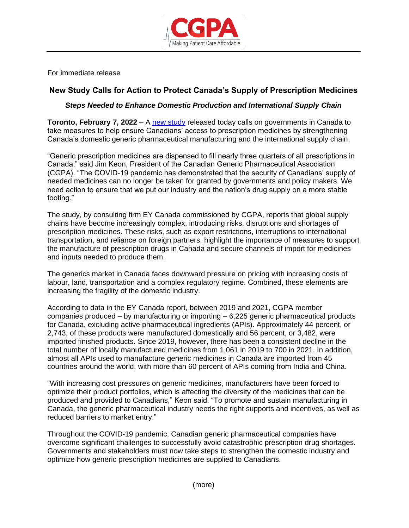

For immediate release

## **New Study Calls for Action to Protect Canada's Supply of Prescription Medicines**

## *Steps Needed to Enhance Domestic Production and International Supply Chain*

**Toronto, February 7, 2022** – A [new study](https://canadiangenerics.ca/02-22-ey-cgpa-capacity-study_final/) released today calls on governments in Canada to take measures to help ensure Canadians' access to prescription medicines by strengthening Canada's domestic generic pharmaceutical manufacturing and the international supply chain.

"Generic prescription medicines are dispensed to fill nearly three quarters of all prescriptions in Canada," said Jim Keon, President of the Canadian Generic Pharmaceutical Association (CGPA). "The COVID-19 pandemic has demonstrated that the security of Canadians' supply of needed medicines can no longer be taken for granted by governments and policy makers. We need action to ensure that we put our industry and the nation's drug supply on a more stable footing."

The study, by consulting firm EY Canada commissioned by CGPA, reports that global supply chains have become increasingly complex, introducing risks, disruptions and shortages of prescription medicines. These risks, such as export restrictions, interruptions to international transportation, and reliance on foreign partners, highlight the importance of measures to support the manufacture of prescription drugs in Canada and secure channels of import for medicines and inputs needed to produce them.

The generics market in Canada faces downward pressure on pricing with increasing costs of labour, land, transportation and a complex regulatory regime. Combined, these elements are increasing the fragility of the domestic industry.

According to data in the EY Canada report, between 2019 and 2021, CGPA member companies produced – by manufacturing or importing – 6,225 generic pharmaceutical products for Canada, excluding active pharmaceutical ingredients (APIs). Approximately 44 percent, or 2,743, of these products were manufactured domestically and 56 percent, or 3,482, were imported finished products. Since 2019, however, there has been a consistent decline in the total number of locally manufactured medicines from 1,061 in 2019 to 700 in 2021. In addition, almost all APIs used to manufacture generic medicines in Canada are imported from 45 countries around the world, with more than 60 percent of APIs coming from India and China.

"With increasing cost pressures on generic medicines, manufacturers have been forced to optimize their product portfolios, which is affecting the diversity of the medicines that can be produced and provided to Canadians," Keon said. "To promote and sustain manufacturing in Canada, the generic pharmaceutical industry needs the right supports and incentives, as well as reduced barriers to market entry."

Throughout the COVID-19 pandemic, Canadian generic pharmaceutical companies have overcome significant challenges to successfully avoid catastrophic prescription drug shortages. Governments and stakeholders must now take steps to strengthen the domestic industry and optimize how generic prescription medicines are supplied to Canadians.